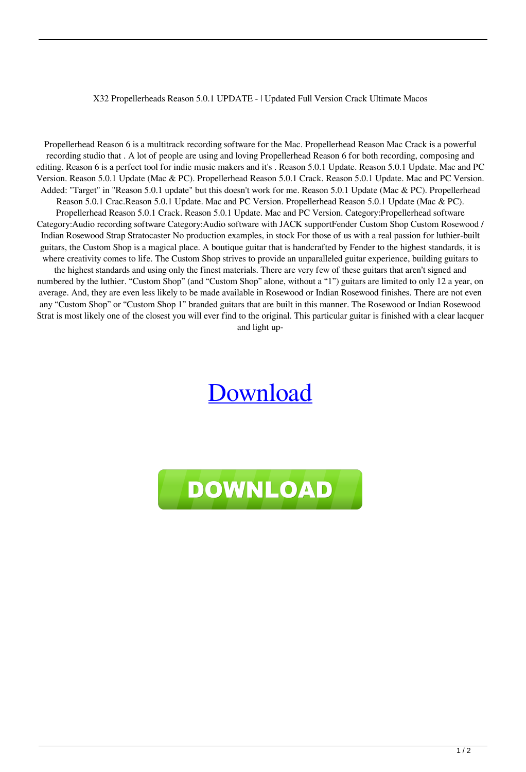## X32 Propellerheads Reason 5.0.1 UPDATE - | Updated Full Version Crack Ultimate Macos

Propellerhead Reason 6 is a multitrack recording software for the Mac. Propellerhead Reason Mac Crack is a powerful recording studio that . A lot of people are using and loving Propellerhead Reason 6 for both recording, composing and editing. Reason 6 is a perfect tool for indie music makers and it's . Reason 5.0.1 Update. Reason 5.0.1 Update. Mac and PC Version. Reason 5.0.1 Update (Mac & PC). Propellerhead Reason 5.0.1 Crack. Reason 5.0.1 Update. Mac and PC Version. Added: "Target" in "Reason 5.0.1 update" but this doesn't work for me. Reason 5.0.1 Update (Mac & PC). Propellerhead Reason 5.0.1 Crac.Reason 5.0.1 Update. Mac and PC Version. Propellerhead Reason 5.0.1 Update (Mac & PC). Propellerhead Reason 5.0.1 Crack. Reason 5.0.1 Update. Mac and PC Version. Category:Propellerhead software Category:Audio recording software Category:Audio software with JACK supportFender Custom Shop Custom Rosewood / Indian Rosewood Strap Stratocaster No production examples, in stock For those of us with a real passion for luthier-built guitars, the Custom Shop is a magical place. A boutique guitar that is handcrafted by Fender to the highest standards, it is where creativity comes to life. The Custom Shop strives to provide an unparalleled guitar experience, building guitars to the highest standards and using only the finest materials. There are very few of these guitars that aren't signed and numbered by the luthier. "Custom Shop" (and "Custom Shop" alone, without a "1") guitars are limited to only 12 a year, on average. And, they are even less likely to be made available in Rosewood or Indian Rosewood finishes. There are not even any "Custom Shop" or "Custom Shop 1" branded guitars that are built in this manner. The Rosewood or Indian Rosewood Strat is most likely one of the closest you will ever find to the original. This particular guitar is finished with a clear lacquer and light up-

## [Download](http://evacdir.com/connected/contractor.intrigue?saintliest=ZG93bmxvYWR8R1g5TVdWM00zeDhNVFkxTWpjME1EZzJObng4TWpVM05IeDhLRTBwSUhKbFlXUXRZbXh2WnlCYlJtRnpkQ0JIUlU1ZA.UHJvcGVsbGVyaGVhZHMgUmVhc29uIDUuMC4xIFVQREFURSAoUEMgLSBNQUMpIHwgdXBkYXRlZAUHJ.kahoano&thessaly=stuttgart)